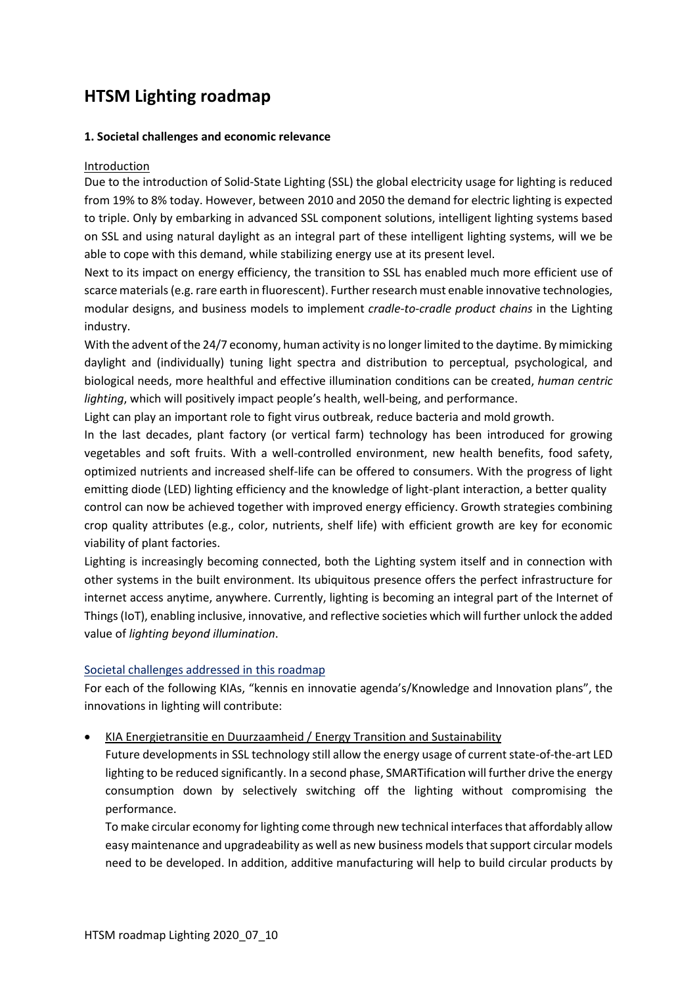# **HTSM Lighting roadmap**

#### **1. Societal challenges and economic relevance**

#### Introduction

Due to the introduction of Solid-State Lighting (SSL) the global electricity usage for lighting is reduced from 19% to 8% today. However, between 2010 and 2050 the demand for electric lighting is expected to triple. Only by embarking in advanced SSL component solutions, intelligent lighting systems based on SSL and using natural daylight as an integral part of these intelligent lighting systems, will we be able to cope with this demand, while stabilizing energy use at its present level.

Next to its impact on energy efficiency, the transition to SSL has enabled much more efficient use of scarce materials(e.g. rare earth in fluorescent). Further research must enable innovative technologies, modular designs, and business models to implement *cradle-to-cradle product chains* in the Lighting industry.

With the advent of the 24/7 economy, human activity is no longer limited to the daytime. By mimicking daylight and (individually) tuning light spectra and distribution to perceptual, psychological, and biological needs, more healthful and effective illumination conditions can be created, *human centric lighting*, which will positively impact people's health, well-being, and performance.

Light can play an important role to fight virus outbreak, reduce bacteria and mold growth.

In the last decades, plant factory (or vertical farm) technology has been introduced for growing vegetables and soft fruits. With a well-controlled environment, new health benefits, food safety, optimized nutrients and increased shelf-life can be offered to consumers. With the progress of light emitting diode (LED) lighting efficiency and the knowledge of light-plant interaction, a better quality control can now be achieved together with improved energy efficiency. Growth strategies combining crop quality attributes (e.g., color, nutrients, shelf life) with efficient growth are key for economic viability of plant factories.

Lighting is increasingly becoming connected, both the Lighting system itself and in connection with other systems in the built environment. Its ubiquitous presence offers the perfect infrastructure for internet access anytime, anywhere. Currently, lighting is becoming an integral part of the Internet of Things(IoT), enabling inclusive, innovative, and reflective societies which will further unlock the added value of *lighting beyond illumination*.

# Societal challenges addressed in this roadmap

For each of the following KIAs, "kennis en innovatie agenda's/Knowledge and Innovation plans", the innovations in lighting will contribute:

• [KIA Energietransitie en Duurzaamheid](https://www.topsectoren.nl/innovatie/documenten/publicaties/2019-publicaties/oktober/161019/kia-energietransitie-en-duurzaamheid) / Energy Transition and Sustainability

Future developments in SSL technology still allow the energy usage of current state-of-the-art LED lighting to be reduced significantly. In a second phase, SMARTification will further drive the energy consumption down by selectively switching off the lighting without compromising the performance.

To make circular economy for lighting come through new technical interfaces that affordably allow easy maintenance and upgradeability as well as new business models that support circular models need to be developed. In addition, additive manufacturing will help to build circular products by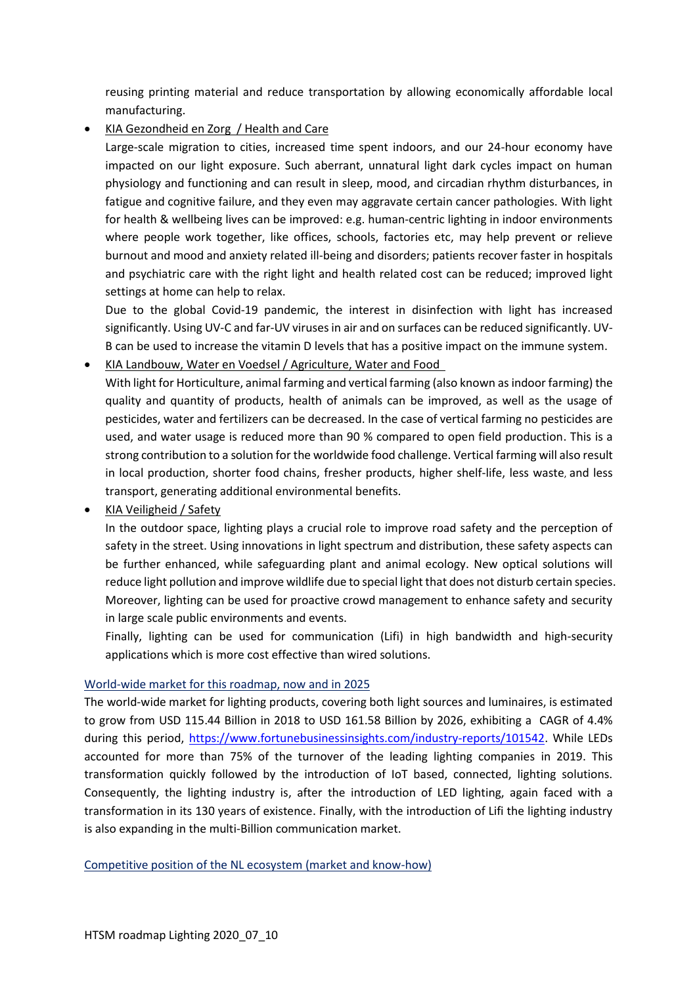reusing printing material and reduce transportation by allowing economically affordable local manufacturing.

# • [KIA Gezondheid en Zorg](https://www.health-holland.com/publications/useful-documents/kia) / Health and Care

Large-scale migration to cities, increased time spent indoors, and our 24-hour economy have impacted on our light exposure. Such aberrant, unnatural light dark cycles impact on human physiology and functioning and can result in sleep, mood, and circadian rhythm disturbances, in fatigue and cognitive failure, and they even may aggravate certain cancer pathologies. With light for health & wellbeing lives can be improved: e.g. human-centric lighting in indoor environments where people work together, like offices, schools, factories etc, may help prevent or relieve burnout and mood and anxiety related ill-being and disorders; patients recover faster in hospitals and psychiatric care with the right light and health related cost can be reduced; improved light settings at home can help to relax.

Due to the global Covid-19 pandemic, the interest in disinfection with light has increased significantly. Using UV-C and far-UV viruses in air and on surfaces can be reduced significantly. UV-B can be used to increase the vitamin D levels that has a positive impact on the immune system.

• [KIA Landbouw, Water en Voedsel](https://topsectortu.nl/nl/kennis-en-innovatie-agenda) / Agriculture, Water and Food

With light for Horticulture, animal farming and vertical farming (also known as indoor farming) the quality and quantity of products, health of animals can be improved, as well as the usage of pesticides, water and fertilizers can be decreased. In the case of vertical farming no pesticides are used, and water usage is reduced more than 90 % compared to open field production. This is a strong contribution to a solution for the worldwide food challenge. Vertical farming will also result in local production, shorter food chains, fresher products, higher shelf-life, less waste, and less transport, generating additional environmental benefits.

• [KIA Veiligheid](https://www.hollandhightech.nl/kia-veiligheid) / Safety

In the outdoor space, lighting plays a crucial role to improve road safety and the perception of safety in the street. Using innovations in light spectrum and distribution, these safety aspects can be further enhanced, while safeguarding plant and animal ecology. New optical solutions will reduce light pollution and improve wildlife due to special light that does not disturb certain species. Moreover, lighting can be used for proactive crowd management to enhance safety and security in large scale public environments and events.

Finally, lighting can be used for communication (Lifi) in high bandwidth and high-security applications which is more cost effective than wired solutions.

# World-wide market for this roadmap, now and in 2025

The world-wide market for lighting products, covering both light sources and luminaires, is estimated to grow from USD 115.44 Billion in 2018 to USD 161.58 Billion by 2026, exhibiting a CAGR of 4.4% during this period, [https://www.fortunebusinessinsights.com/industry-reports/101542.](https://www.fortunebusinessinsights.com/industry-reports/101542) While LEDs accounted for more than 75% of the turnover of the leading lighting companies in 2019. This transformation quickly followed by the introduction of IoT based, connected, lighting solutions. Consequently, the lighting industry is, after the introduction of LED lighting, again faced with a transformation in its 130 years of existence. Finally, with the introduction of Lifi the lighting industry is also expanding in the multi-Billion communication market.

Competitive position of the NL ecosystem (market and know-how)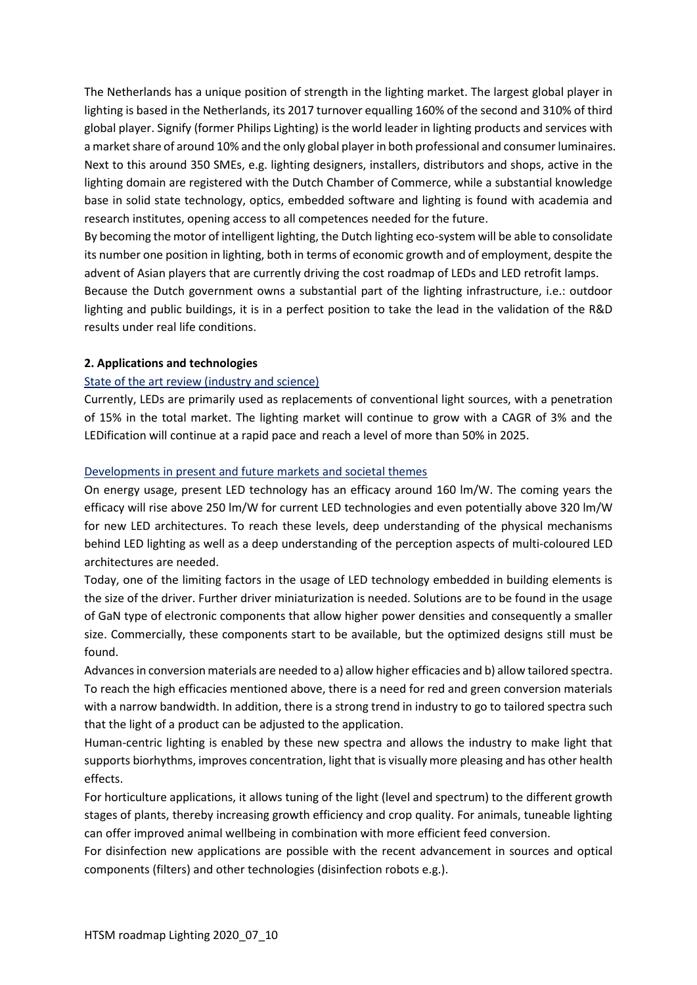The Netherlands has a unique position of strength in the lighting market. The largest global player in lighting is based in the Netherlands, its 2017 turnover equalling 160% of the second and 310% of third global player. Signify (former Philips Lighting) is the world leader in lighting products and services with a market share of around 10% and the only global player in both professional and consumer luminaires. Next to this around 350 SMEs, e.g. lighting designers, installers, distributors and shops, active in the lighting domain are registered with the Dutch Chamber of Commerce, while a substantial knowledge base in solid state technology, optics, embedded software and lighting is found with academia and research institutes, opening access to all competences needed for the future.

By becoming the motor of intelligent lighting, the Dutch lighting eco-system will be able to consolidate its number one position in lighting, both in terms of economic growth and of employment, despite the advent of Asian players that are currently driving the cost roadmap of LEDs and LED retrofit lamps.

Because the Dutch government owns a substantial part of the lighting infrastructure, i.e.: outdoor lighting and public buildings, it is in a perfect position to take the lead in the validation of the R&D results under real life conditions.

#### **2. Applications and technologies**

## State of the art review (industry and science)

Currently, LEDs are primarily used as replacements of conventional light sources, with a penetration of 15% in the total market. The lighting market will continue to grow with a CAGR of 3% and the LEDification will continue at a rapid pace and reach a level of more than 50% in 2025.

## Developments in present and future markets and societal themes

On energy usage, present LED technology has an efficacy around 160 lm/W. The coming years the efficacy will rise above 250 lm/W for current LED technologies and even potentially above 320 lm/W for new LED architectures. To reach these levels, deep understanding of the physical mechanisms behind LED lighting as well as a deep understanding of the perception aspects of multi-coloured LED architectures are needed.

Today, one of the limiting factors in the usage of LED technology embedded in building elements is the size of the driver. Further driver miniaturization is needed. Solutions are to be found in the usage of GaN type of electronic components that allow higher power densities and consequently a smaller size. Commercially, these components start to be available, but the optimized designs still must be found.

Advances in conversion materials are needed to a) allow higher efficacies and b) allow tailored spectra. To reach the high efficacies mentioned above, there is a need for red and green conversion materials with a narrow bandwidth. In addition, there is a strong trend in industry to go to tailored spectra such that the light of a product can be adjusted to the application.

Human-centric lighting is enabled by these new spectra and allows the industry to make light that supports biorhythms, improves concentration, light that is visually more pleasing and has other health effects.

For horticulture applications, it allows tuning of the light (level and spectrum) to the different growth stages of plants, thereby increasing growth efficiency and crop quality. For animals, tuneable lighting can offer improved animal wellbeing in combination with more efficient feed conversion.

For disinfection new applications are possible with the recent advancement in sources and optical components (filters) and other technologies (disinfection robots e.g.).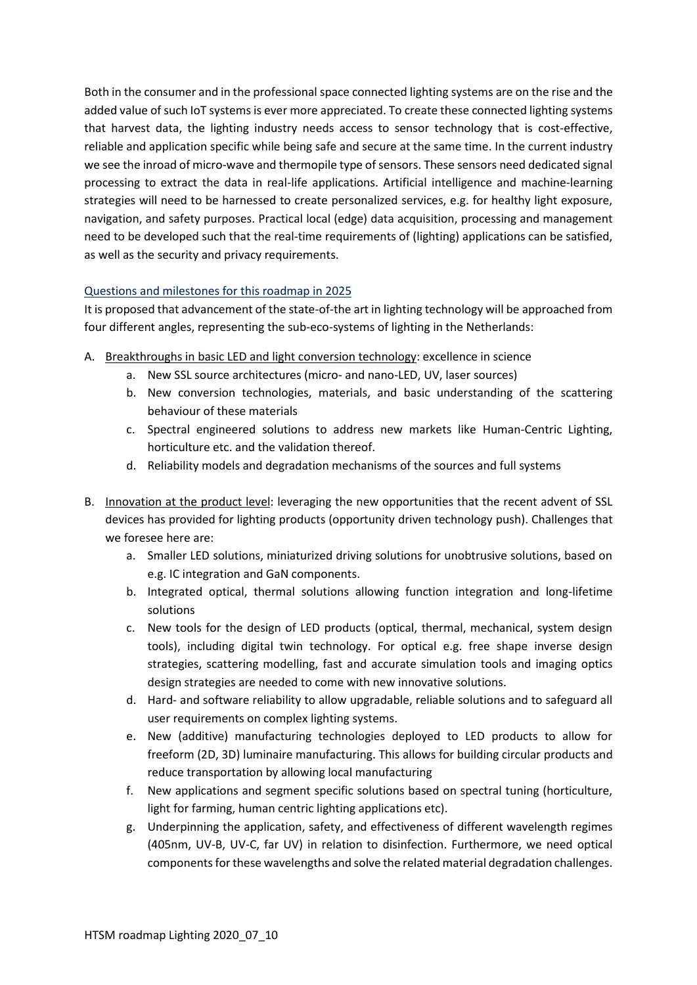Both in the consumer and in the professional space connected lighting systems are on the rise and the added value of such IoT systems is ever more appreciated. To create these connected lighting systems that harvest data, the lighting industry needs access to sensor technology that is cost-effective, reliable and application specific while being safe and secure at the same time. In the current industry we see the inroad of micro-wave and thermopile type of sensors. These sensors need dedicated signal processing to extract the data in real-life applications. Artificial intelligence and machine-learning strategies will need to be harnessed to create personalized services, e.g. for healthy light exposure, navigation, and safety purposes. Practical local (edge) data acquisition, processing and management need to be developed such that the real-time requirements of (lighting) applications can be satisfied, as well as the security and privacy requirements.

# Questions and milestones for this roadmap in 2025

It is proposed that advancement of the state-of-the art in lighting technology will be approached from four different angles, representing the sub-eco-systems of lighting in the Netherlands:

- A. Breakthroughs in basic LED and light conversion technology: excellence in science
	- a. New SSL source architectures (micro- and nano-LED, UV, laser sources)
	- b. New conversion technologies, materials, and basic understanding of the scattering behaviour of these materials
	- c. Spectral engineered solutions to address new markets like Human-Centric Lighting, horticulture etc. and the validation thereof.
	- d. Reliability models and degradation mechanisms of the sources and full systems
- B. Innovation at the product level: leveraging the new opportunities that the recent advent of SSL devices has provided for lighting products (opportunity driven technology push). Challenges that we foresee here are:
	- a. Smaller LED solutions, miniaturized driving solutions for unobtrusive solutions, based on e.g. IC integration and GaN components.
	- b. Integrated optical, thermal solutions allowing function integration and long-lifetime solutions
	- c. New tools for the design of LED products (optical, thermal, mechanical, system design tools), including digital twin technology. For optical e.g. free shape inverse design strategies, scattering modelling, fast and accurate simulation tools and imaging optics design strategies are needed to come with new innovative solutions.
	- d. Hard- and software reliability to allow upgradable, reliable solutions and to safeguard all user requirements on complex lighting systems.
	- e. New (additive) manufacturing technologies deployed to LED products to allow for freeform (2D, 3D) luminaire manufacturing. This allows for building circular products and reduce transportation by allowing local manufacturing
	- f. New applications and segment specific solutions based on spectral tuning (horticulture, light for farming, human centric lighting applications etc).
	- g. Underpinning the application, safety, and effectiveness of different wavelength regimes (405nm, UV-B, UV-C, far UV) in relation to disinfection. Furthermore, we need optical components for these wavelengths and solve the related material degradation challenges.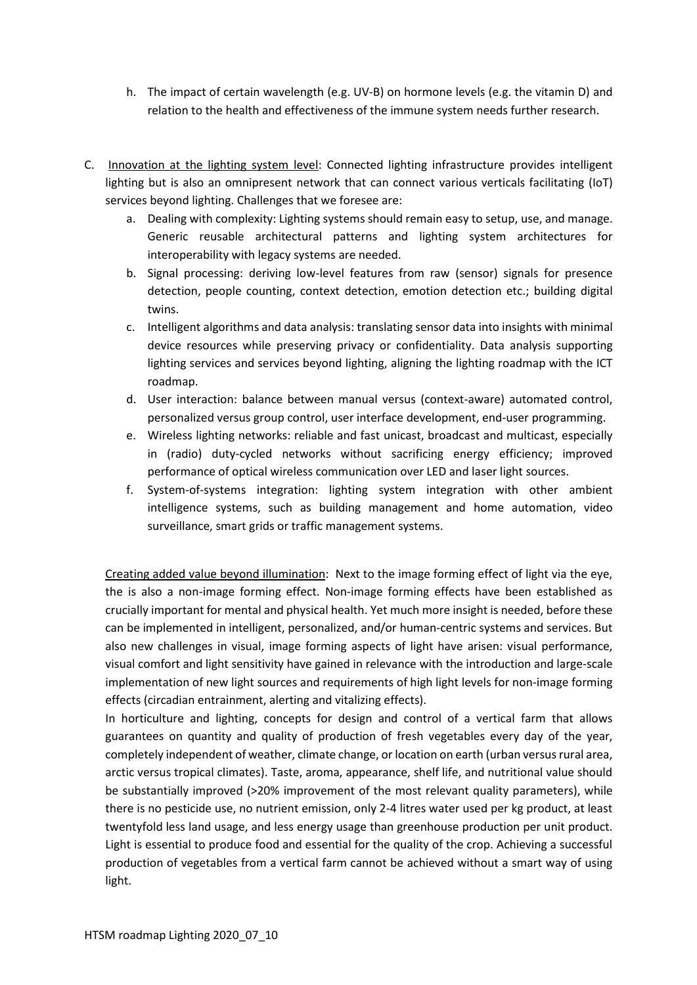- h. The impact of certain wavelength (e.g. UV-B) on hormone levels (e.g. the vitamin D) and relation to the health and effectiveness of the immune system needs further research.
- C. Innovation at the lighting system level: Connected lighting infrastructure provides intelligent lighting but is also an omnipresent network that can connect various verticals facilitating (IoT) services beyond lighting. Challenges that we foresee are:
	- a. Dealing with complexity: Lighting systems should remain easy to setup, use, and manage. Generic reusable architectural patterns and lighting system architectures for interoperability with legacy systems are needed.
	- b. Signal processing: deriving low-level features from raw (sensor) signals for presence detection, people counting, context detection, emotion detection etc.; building digital twins.
	- c. Intelligent algorithms and data analysis: translating sensor data into insights with minimal device resources while preserving privacy or confidentiality. Data analysis supporting lighting services and services beyond lighting, aligning the lighting roadmap with the ICT roadmap.
	- d. User interaction: balance between manual versus (context-aware) automated control, personalized versus group control, user interface development, end-user programming.
	- e. Wireless lighting networks: reliable and fast unicast, broadcast and multicast, especially in (radio) duty-cycled networks without sacrificing energy efficiency; improved performance of optical wireless communication over LED and laser light sources.
	- f. System-of-systems integration: lighting system integration with other ambient intelligence systems, such as building management and home automation, video surveillance, smart grids or traffic management systems.

Creating added value beyond illumination: Next to the image forming effect of light via the eye, the is also a non-image forming effect. Non-image forming effects have been established as crucially important for mental and physical health. Yet much more insight is needed, before these can be implemented in intelligent, personalized, and/or human-centric systems and services. But also new challenges in visual, image forming aspects of light have arisen: visual performance, visual comfort and light sensitivity have gained in relevance with the introduction and large-scale implementation of new light sources and requirements of high light levels for non-image forming effects (circadian entrainment, alerting and vitalizing effects).

In horticulture and lighting, concepts for design and control of a vertical farm that allows guarantees on quantity and quality of production of fresh vegetables every day of the year, completely independent of weather, climate change, or location on earth (urban versus rural area, arctic versus tropical climates). Taste, aroma, appearance, shelf life, and nutritional value should be substantially improved (>20% improvement of the most relevant quality parameters), while there is no pesticide use, no nutrient emission, only 2-4 litres water used per kg product, at least twentyfold less land usage, and less energy usage than greenhouse production per unit product. Light is essential to produce food and essential for the quality of the crop. Achieving a successful production of vegetables from a vertical farm cannot be achieved without a smart way of using light.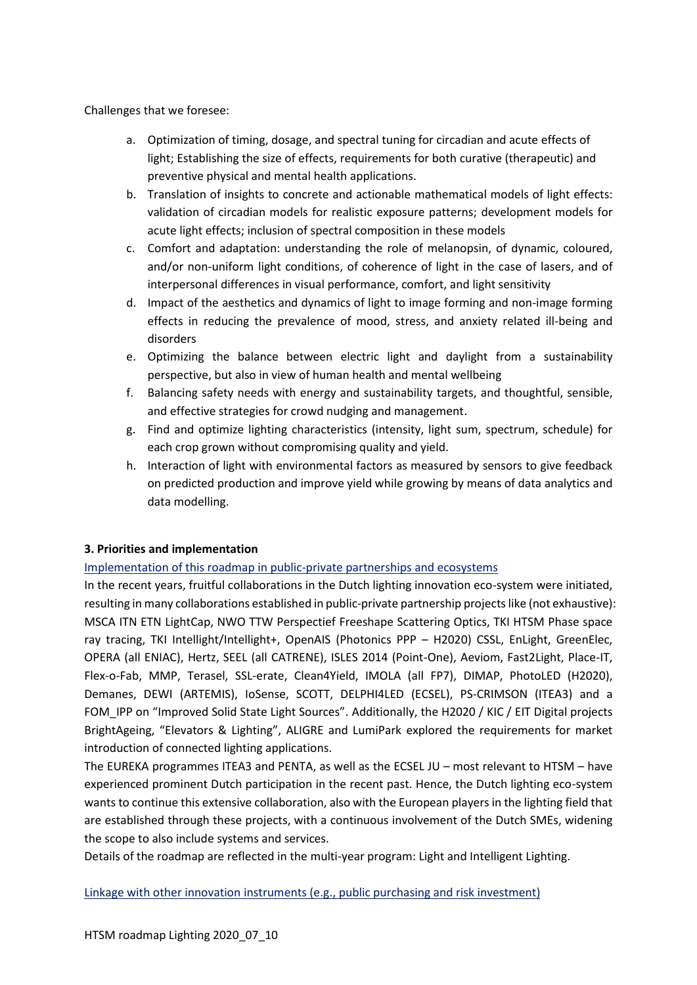Challenges that we foresee:

- a. Optimization of timing, dosage, and spectral tuning for circadian and acute effects of light; Establishing the size of effects, requirements for both curative (therapeutic) and preventive physical and mental health applications.
- b. Translation of insights to concrete and actionable mathematical models of light effects: validation of circadian models for realistic exposure patterns; development models for acute light effects; inclusion of spectral composition in these models
- c. Comfort and adaptation: understanding the role of melanopsin, of dynamic, coloured, and/or non-uniform light conditions, of coherence of light in the case of lasers, and of interpersonal differences in visual performance, comfort, and light sensitivity
- d. Impact of the aesthetics and dynamics of light to image forming and non-image forming effects in reducing the prevalence of mood, stress, and anxiety related ill-being and disorders
- e. Optimizing the balance between electric light and daylight from a sustainability perspective, but also in view of human health and mental wellbeing
- f. Balancing safety needs with energy and sustainability targets, and thoughtful, sensible, and effective strategies for crowd nudging and management.
- g. Find and optimize lighting characteristics (intensity, light sum, spectrum, schedule) for each crop grown without compromising quality and yield.
- h. Interaction of light with environmental factors as measured by sensors to give feedback on predicted production and improve yield while growing by means of data analytics and data modelling.

# **3. Priorities and implementation**

Implementation of this roadmap in public-private partnerships and ecosystems

In the recent years, fruitful collaborations in the Dutch lighting innovation eco-system were initiated, resulting in many collaborations established in public-private partnership projects like (not exhaustive): MSCA ITN ETN LightCap, NWO TTW Perspectief Freeshape Scattering Optics, TKI HTSM Phase space ray tracing, TKI Intellight/Intellight+, OpenAIS (Photonics PPP – H2020) CSSL, EnLight, GreenElec, OPERA (all ENIAC), Hertz, SEEL (all CATRENE), ISLES 2014 (Point-One), Aeviom, Fast2Light, Place-IT, Flex-o-Fab, MMP, Terasel, SSL-erate, Clean4Yield, IMOLA (all FP7), DIMAP, PhotoLED (H2020), Demanes, DEWI (ARTEMIS), IoSense, SCOTT, DELPHI4LED (ECSEL), PS-CRIMSON (ITEA3) and a FOM IPP on "Improved Solid State Light Sources". Additionally, the H2020 / KIC / EIT Digital projects BrightAgeing, "Elevators & Lighting", ALIGRE and LumiPark explored the requirements for market introduction of connected lighting applications.

The EUREKA programmes ITEA3 and PENTA, as well as the ECSEL JU – most relevant to HTSM – have experienced prominent Dutch participation in the recent past. Hence, the Dutch lighting eco-system wants to continue this extensive collaboration, also with the European players in the lighting field that are established through these projects, with a continuous involvement of the Dutch SMEs, widening the scope to also include systems and services.

Details of the roadmap are reflected in the multi-year program: Light and Intelligent Lighting.

# Linkage with other innovation instruments (e.g., public purchasing and risk investment)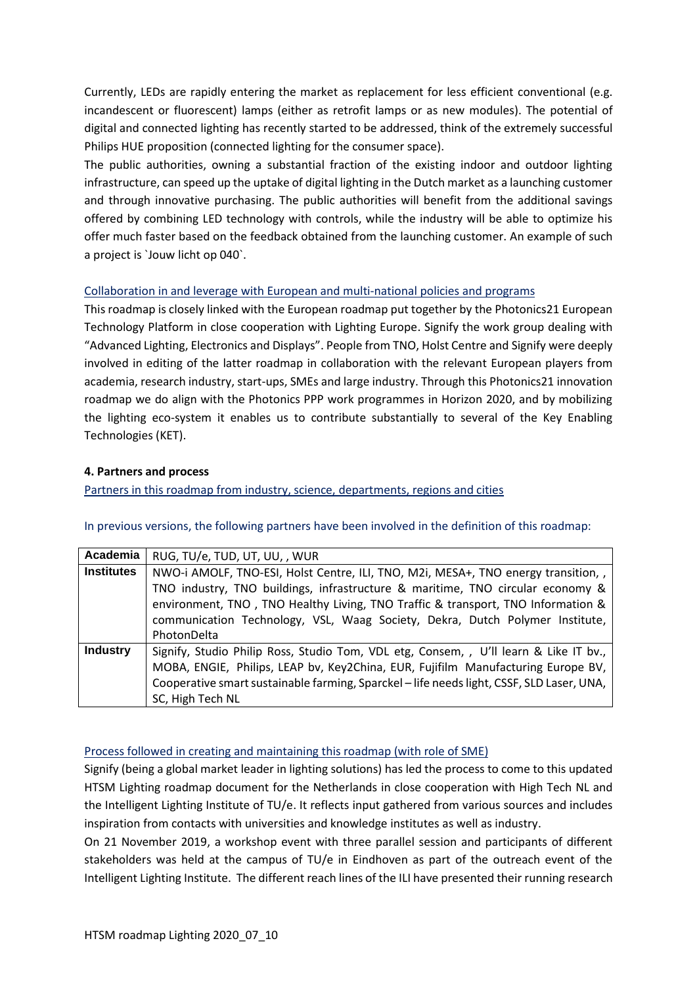Currently, LEDs are rapidly entering the market as replacement for less efficient conventional (e.g. incandescent or fluorescent) lamps (either as retrofit lamps or as new modules). The potential of digital and connected lighting has recently started to be addressed, think of the extremely successful Philips HUE proposition (connected lighting for the consumer space).

The public authorities, owning a substantial fraction of the existing indoor and outdoor lighting infrastructure, can speed up the uptake of digital lighting in the Dutch market as a launching customer and through innovative purchasing. The public authorities will benefit from the additional savings offered by combining LED technology with controls, while the industry will be able to optimize his offer much faster based on the feedback obtained from the launching customer. An example of such a project is `Jouw licht op 040`.

## Collaboration in and leverage with European and multi-national policies and programs

This roadmap is closely linked with the European roadmap put together by the Photonics21 European Technology Platform in close cooperation with Lighting Europe. Signify the work group dealing with "Advanced Lighting, Electronics and Displays". People from TNO, Holst Centre and Signify were deeply involved in editing of the latter roadmap in collaboration with the relevant European players from academia, research industry, start-ups, SMEs and large industry. Through this Photonics21 innovation roadmap we do align with the Photonics PPP work programmes in Horizon 2020, and by mobilizing the lighting eco-system it enables us to contribute substantially to several of the Key Enabling Technologies (KET).

#### **4. Partners and process**

Partners in this roadmap from industry, science, departments, regions and cities

| Academia          | RUG, TU/e, TUD, UT, UU, , WUR                                                             |
|-------------------|-------------------------------------------------------------------------------------------|
| <b>Institutes</b> | NWO-i AMOLF, TNO-ESI, Holst Centre, ILI, TNO, M2i, MESA+, TNO energy transition, ,        |
|                   | TNO industry, TNO buildings, infrastructure & maritime, TNO circular economy &            |
|                   | environment, TNO, TNO Healthy Living, TNO Traffic & transport, TNO Information &          |
|                   | communication Technology, VSL, Waag Society, Dekra, Dutch Polymer Institute,              |
|                   | PhotonDelta                                                                               |
| <b>Industry</b>   | Signify, Studio Philip Ross, Studio Tom, VDL etg, Consem, , U'll learn & Like IT bv.,     |
|                   | MOBA, ENGIE, Philips, LEAP bv, Key2China, EUR, Fujifilm Manufacturing Europe BV,          |
|                   | Cooperative smart sustainable farming, Sparckel - life needs light, CSSF, SLD Laser, UNA, |
|                   | SC, High Tech NL                                                                          |

#### In previous versions, the following partners have been involved in the definition of this roadmap:

# Process followed in creating and maintaining this roadmap (with role of SME)

Signify (being a global market leader in lighting solutions) has led the process to come to this updated HTSM Lighting roadmap document for the Netherlands in close cooperation with High Tech NL and the Intelligent Lighting Institute of TU/e. It reflects input gathered from various sources and includes inspiration from contacts with universities and knowledge institutes as well as industry.

On 21 November 2019, a workshop event with three parallel session and participants of different stakeholders was held at the campus of TU/e in Eindhoven as part of the outreach event of the Intelligent Lighting Institute. The different reach lines of the ILI have presented their running research